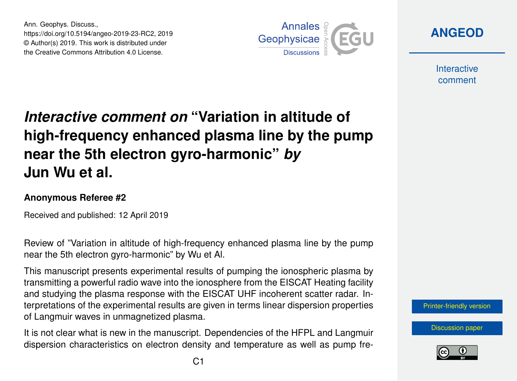Ann. Geophys. Discuss., https://doi.org/10.5194/angeo-2019-23-RC2, 2019 © Author(s) 2019. This work is distributed under the Creative Commons Attribution 4.0 License.



**[ANGEOD](https://www.ann-geophys-discuss.net/)**

**Interactive** comment

## *Interactive comment on* **"Variation in altitude of high-frequency enhanced plasma line by the pump near the 5th electron gyro-harmonic"** *by* **Jun Wu et al.**

## **Anonymous Referee #2**

Received and published: 12 April 2019

Review of "Variation in altitude of high-frequency enhanced plasma line by the pump near the 5th electron gyro-harmonic" by Wu et Al.

This manuscript presents experimental results of pumping the ionospheric plasma by transmitting a powerful radio wave into the ionosphere from the EISCAT Heating facility and studying the plasma response with the EISCAT UHF incoherent scatter radar. Interpretations of the experimental results are given in terms linear dispersion properties of Langmuir waves in unmagnetized plasma.

It is not clear what is new in the manuscript. Dependencies of the HFPL and Langmuir dispersion characteristics on electron density and temperature as well as pump fre-



[Discussion paper](https://www.ann-geophys-discuss.net/angeo-2019-23)